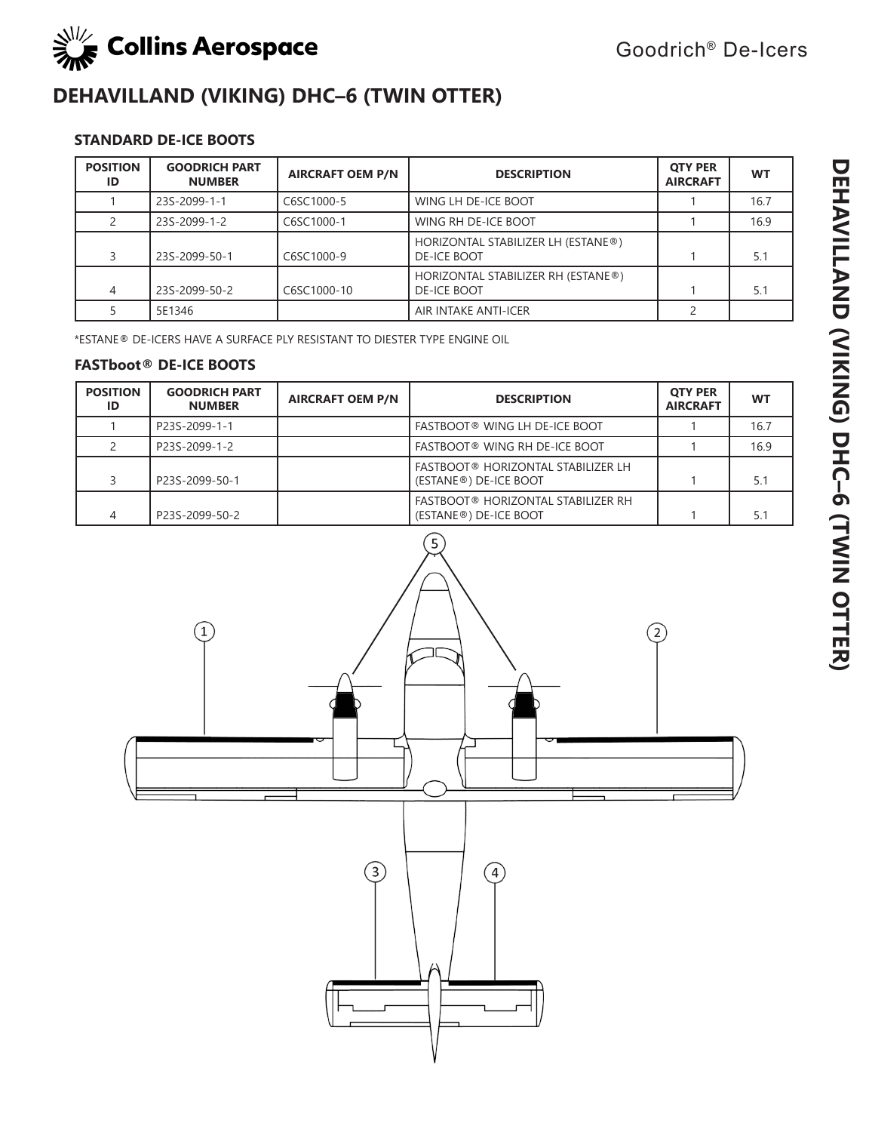

# **DEHAVILLAND (VIKING) DHC–6 (TWIN OTTER)**

## **STANDARD DE-ICE BOOTS**

| <b>POSITION</b><br>ID | <b>GOODRICH PART</b><br><b>NUMBER</b> | <b>AIRCRAFT OEM P/N</b> | <b>DESCRIPTION</b>                                       | <b>OTY PER</b><br><b>AIRCRAFT</b> | <b>WT</b> |
|-----------------------|---------------------------------------|-------------------------|----------------------------------------------------------|-----------------------------------|-----------|
|                       | 23S-2099-1-1                          | C6SC1000-5              | WING LH DE-ICE BOOT                                      |                                   | 16.7      |
|                       | 23S-2099-1-2                          | C6SC1000-1              | WING RH DE-ICE BOOT                                      |                                   | 16.9      |
|                       | 23S-2099-50-1                         | C6SC1000-9              | HORIZONTAL STABILIZER LH (ESTANE®)<br><b>DE-ICE BOOT</b> |                                   | 5.1       |
| 4                     | 23S-2099-50-2                         | C6SC1000-10             | HORIZONTAL STABILIZER RH (ESTANE®)<br><b>DE-ICE BOOT</b> |                                   | 5.1       |
|                       | 5E1346                                |                         | AIR INTAKE ANTI-ICER                                     |                                   |           |

\*ESTANE® DE-ICERS HAVE A SURFACE PLY RESISTANT TO DIESTER TYPE ENGINE OIL

| <b>POSITION</b><br>ID | <b>GOODRICH PART</b><br><b>NUMBER</b> | <b>AIRCRAFT OEM P/N</b> | <b>DESCRIPTION</b>                                          | <b>OTY PER</b><br><b>AIRCRAFT</b> | <b>WT</b> |
|-----------------------|---------------------------------------|-------------------------|-------------------------------------------------------------|-----------------------------------|-----------|
|                       | P23S-2099-1-1                         |                         | FASTBOOT® WING LH DE-ICE BOOT                               |                                   | 16.7      |
|                       | P23S-2099-1-2                         |                         | <b>FASTBOOT® WING RH DE-ICE BOOT</b>                        |                                   | 16.9      |
|                       | P23S-2099-50-1                        |                         | FASTBOOT® HORIZONTAL STABILIZER LH<br>(ESTANE®) DE-ICE BOOT |                                   | 5.1       |
|                       | P23S-2099-50-2                        |                         | FASTBOOT® HORIZONTAL STABILIZER RH<br>(ESTANE®) DE-ICE BOOT |                                   | 5.1       |

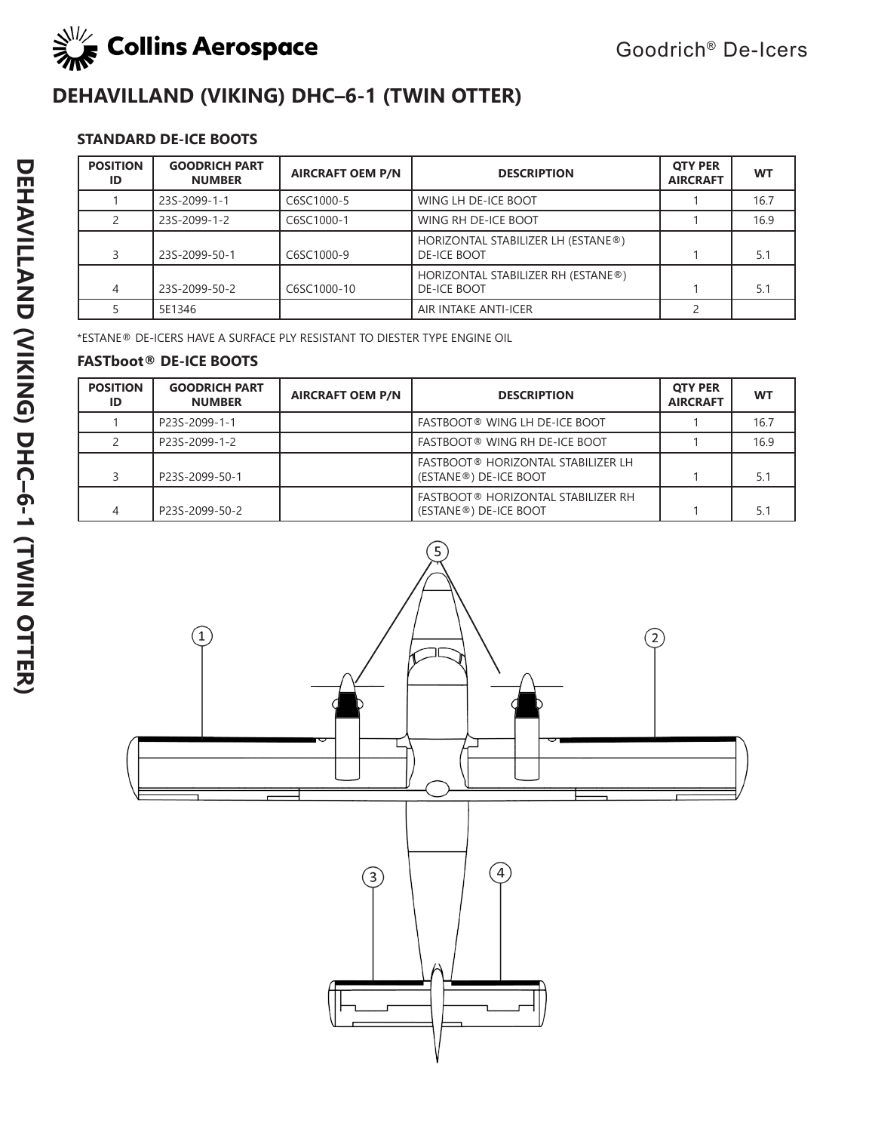

# **DEHAVILLAND (VIKING) DHC–6-1 (TWIN OTTER)**

# **STANDARD DE-ICE BOOTS**

| <b>POSITION</b><br>ID | <b>GOODRICH PART</b><br><b>NUMBER</b> | <b>AIRCRAFT OEM P/N</b> | <b>DESCRIPTION</b>                                       | <b>OTY PER</b><br><b>AIRCRAFT</b> | <b>WT</b> |
|-----------------------|---------------------------------------|-------------------------|----------------------------------------------------------|-----------------------------------|-----------|
|                       | 23S-2099-1-1                          | C6SC1000-5              | WING LH DE-ICE BOOT                                      |                                   | 16.7      |
|                       | 23S-2099-1-2                          | C6SC1000-1              | WING RH DE-ICE BOOT                                      |                                   | 16.9      |
|                       | 23S-2099-50-1                         | C6SC1000-9              | HORIZONTAL STABILIZER LH (ESTANE®)<br><b>DE-ICE BOOT</b> |                                   | 5.1       |
| 4                     | 23S-2099-50-2                         | C6SC1000-10             | HORIZONTAL STABILIZER RH (ESTANE®)<br><b>DE-ICE BOOT</b> |                                   | 5.1       |
|                       | 5E1346                                |                         | AIR INTAKE ANTI-ICER                                     |                                   |           |

\*ESTANE® DE-ICERS HAVE A SURFACE PLY RESISTANT TO DIESTER TYPE ENGINE OIL

| <b>POSITION</b><br>ID | <b>GOODRICH PART</b><br><b>NUMBER</b> | <b>AIRCRAFT OEM P/N</b> | <b>DESCRIPTION</b>                                                              | <b>OTY PER</b><br><b>AIRCRAFT</b> | <b>WT</b> |
|-----------------------|---------------------------------------|-------------------------|---------------------------------------------------------------------------------|-----------------------------------|-----------|
|                       | P23S-2099-1-1                         |                         | <b>FASTBOOT® WING LH DE-ICE BOOT</b>                                            |                                   | 16.7      |
|                       | P23S-2099-1-2                         |                         | <b>FASTBOOT® WING RH DE-ICE BOOT</b>                                            |                                   | 16.9      |
|                       | P23S-2099-50-1                        |                         | <b>FASTBOOT® HORIZONTAL STABILIZER LH</b><br>(ESTANE®) DE-ICE BOOT              |                                   | 5.1       |
|                       | P23S-2099-50-2                        |                         | <b>FASTBOOT® HORIZONTAL STABILIZER RH</b><br>(ESTANE <sup>®</sup> ) DE-ICE BOOT |                                   |           |

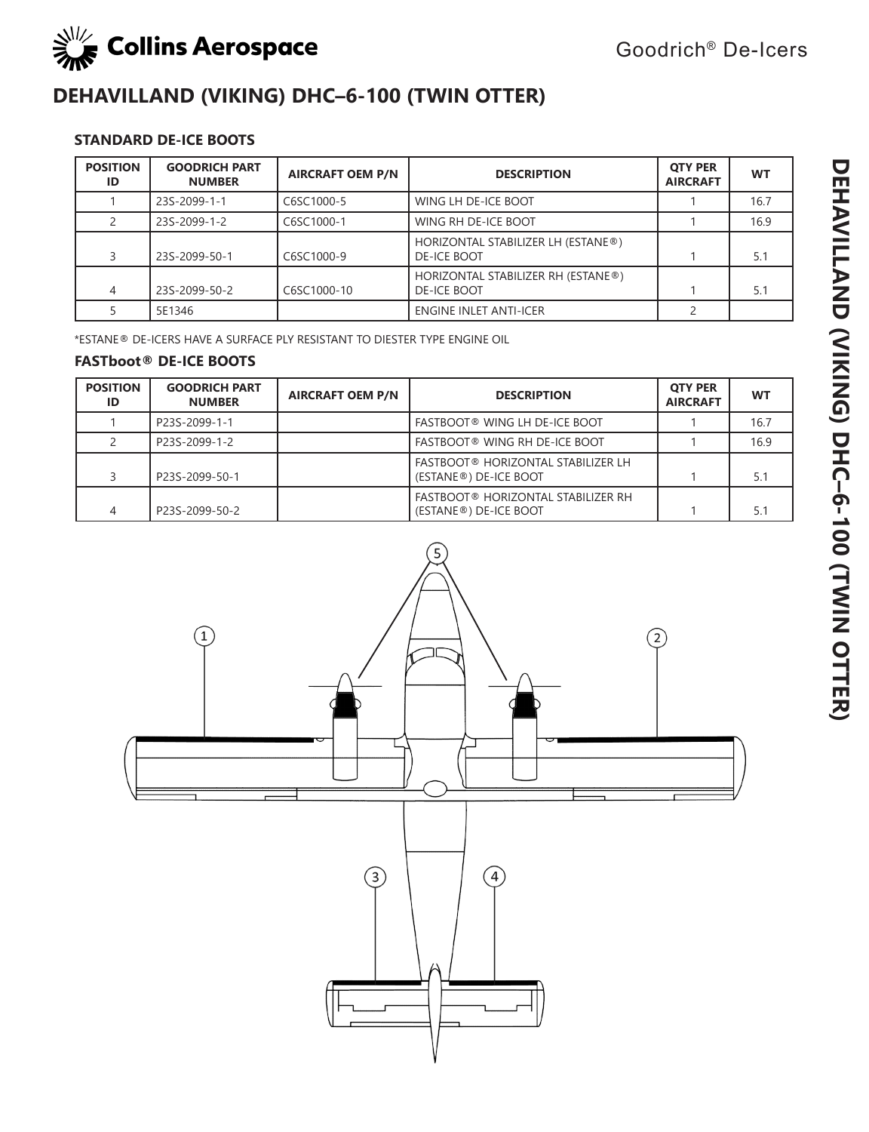

# **DEHAVILLAND (VIKING) DHC–6-100 (TWIN OTTER)**

## **STANDARD DE-ICE BOOTS**

| <b>POSITION</b><br>ID | <b>GOODRICH PART</b><br><b>NUMBER</b> | <b>AIRCRAFT OEM P/N</b> | <b>DESCRIPTION</b>                                       | <b>OTY PER</b><br><b>AIRCRAFT</b> | <b>WT</b> |
|-----------------------|---------------------------------------|-------------------------|----------------------------------------------------------|-----------------------------------|-----------|
|                       | 23S-2099-1-1                          | C6SC1000-5              | WING LH DE-ICE BOOT                                      |                                   | 16.7      |
|                       | 23S-2099-1-2                          | C6SC1000-1              | WING RH DE-ICE BOOT                                      |                                   | 16.9      |
|                       | 23S-2099-50-1                         | C6SC1000-9              | HORIZONTAL STABILIZER LH (ESTANE®)<br><b>DE-ICE BOOT</b> |                                   | 5.1       |
|                       | 23S-2099-50-2                         | C6SC1000-10             | HORIZONTAL STABILIZER RH (ESTANE®)<br><b>DE-ICE BOOT</b> |                                   | 5.1       |
|                       | 5E1346                                |                         | <b>ENGINE INLET ANTI-ICER</b>                            |                                   |           |

\*ESTANE® DE-ICERS HAVE A SURFACE PLY RESISTANT TO DIESTER TYPE ENGINE OIL

| <b>POSITION</b><br>ID | <b>GOODRICH PART</b><br><b>NUMBER</b> | <b>AIRCRAFT OEM P/N</b> | <b>DESCRIPTION</b>                                                              | <b>OTY PER</b><br><b>AIRCRAFT</b> | <b>WT</b> |
|-----------------------|---------------------------------------|-------------------------|---------------------------------------------------------------------------------|-----------------------------------|-----------|
|                       | P23S-2099-1-1                         |                         | <b>FASTBOOT® WING LH DE-ICE BOOT</b>                                            |                                   | 16.7      |
|                       | P23S-2099-1-2                         |                         | <b>FASTBOOT® WING RH DE-ICE BOOT</b>                                            |                                   | 16.9      |
|                       | P23S-2099-50-1                        |                         | <b>FASTBOOT® HORIZONTAL STABILIZER LH</b><br>(ESTANE®) DE-ICE BOOT              |                                   | 5.1       |
|                       | P23S-2099-50-2                        |                         | <b>FASTBOOT® HORIZONTAL STABILIZER RH</b><br>(ESTANE <sup>®</sup> ) DE-ICE BOOT |                                   | 5.1       |

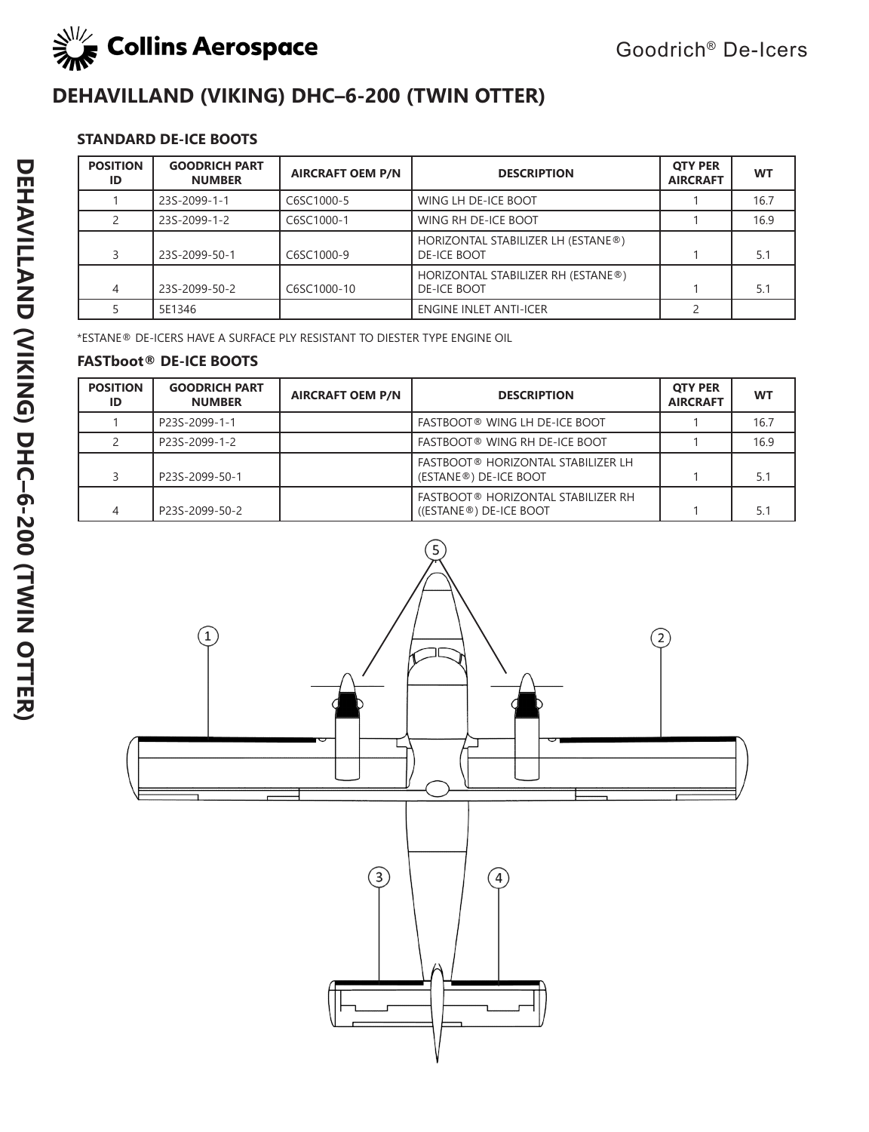

# **DEHAVILLAND (VIKING) DHC–6-200 (TWIN OTTER)**

## **STANDARD DE-ICE BOOTS**

| <b>POSITION</b><br>ID | <b>GOODRICH PART</b><br><b>NUMBER</b> | <b>AIRCRAFT OEM P/N</b> | <b>DESCRIPTION</b>                                       | <b>OTY PER</b><br><b>AIRCRAFT</b> | <b>WT</b> |
|-----------------------|---------------------------------------|-------------------------|----------------------------------------------------------|-----------------------------------|-----------|
|                       | 23S-2099-1-1                          | C6SC1000-5              | WING LH DE-ICE BOOT                                      |                                   | 16.7      |
|                       | 23S-2099-1-2                          | C6SC1000-1              | WING RH DE-ICE BOOT                                      |                                   | 16.9      |
|                       | 23S-2099-50-1                         | C6SC1000-9              | HORIZONTAL STABILIZER LH (ESTANE®)<br><b>DE-ICE BOOT</b> |                                   | 5.1       |
| 4                     | 23S-2099-50-2                         | C6SC1000-10             | HORIZONTAL STABILIZER RH (ESTANE®)<br><b>DE-ICE BOOT</b> |                                   | 5.1       |
|                       | 5E1346                                |                         | <b>ENGINE INLET ANTI-ICER</b>                            |                                   |           |

\*ESTANE® DE-ICERS HAVE A SURFACE PLY RESISTANT TO DIESTER TYPE ENGINE OIL

| <b>POSITION</b><br>ID | <b>GOODRICH PART</b><br><b>NUMBER</b> | <b>AIRCRAFT OEM P/N</b> | <b>DESCRIPTION</b>                                                  | <b>OTY PER</b><br><b>AIRCRAFT</b> | <b>WT</b> |
|-----------------------|---------------------------------------|-------------------------|---------------------------------------------------------------------|-----------------------------------|-----------|
|                       | P23S-2099-1-1                         |                         | <b>FASTBOOT® WING LH DE-ICE BOOT</b>                                |                                   | 16.7      |
|                       | P23S-2099-1-2                         |                         | <b>FASTBOOT® WING RH DE-ICE BOOT</b>                                |                                   | 16.9      |
|                       | P23S-2099-50-1                        |                         | <b>FASTBOOT® HORIZONTAL STABILIZER LH</b><br>(ESTANE®) DE-ICE BOOT  |                                   | 5.1       |
|                       | P23S-2099-50-2                        |                         | <b>FASTBOOT® HORIZONTAL STABILIZER RH</b><br>((ESTANE®) DE-ICE BOOT |                                   | 5.1       |